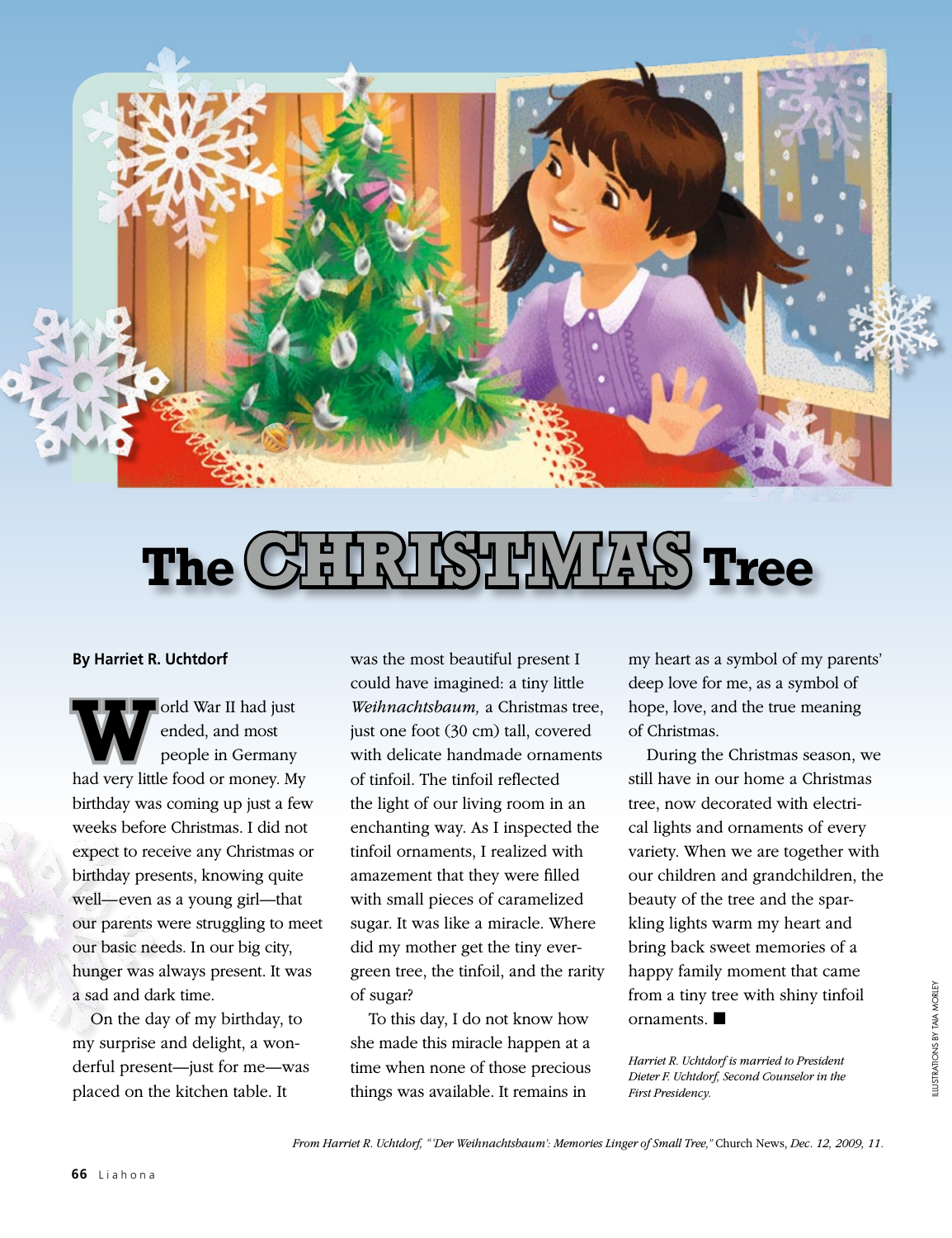

## The **CHRISTMAS** Tree

## **By Harriet R. Uchtdorf**

orld War II had just<br>ended, and most<br>had you little food or money. M ended, and most people in Germany had very little food or money. My birthday was coming up just a few weeks before Christmas. I did not expect to receive any Christmas or birthday presents, knowing quite well—even as a young girl—that our parents were struggling to meet our basic needs. In our big city, hunger was always present. It was a sad and dark time.

On the day of my birthday, to my surprise and delight, a wonderful present—just for me—was placed on the kitchen table. It

was the most beautiful present I could have imagined: a tiny little *Weihnachtsbaum,* a Christmas tree, just one foot (30 cm) tall, covered with delicate handmade ornaments of tinfoil. The tinfoil reflected the light of our living room in an enchanting way. As I inspected the tinfoil ornaments, I realized with amazement that they were filled with small pieces of caramelized sugar. It was like a miracle. Where did my mother get the tiny evergreen tree, the tinfoil, and the rarity of sugar?

To this day, I do not know how she made this miracle happen at a time when none of those precious things was available. It remains in

my heart as a symbol of my parents' deep love for me, as a symbol of hope, love, and the true meaning of Christmas.

During the Christmas season, we still have in our home a Christmas tree, now decorated with electrical lights and ornaments of every variety. When we are together with our children and grandchildren, the beauty of the tree and the sparkling lights warm my heart and bring back sweet memories of a happy family moment that came from a tiny tree with shiny tinfoil ornaments.

*Harriet R. Uchtdorf is married to President Dieter F. Uchtdorf, Second Counselor in the First Presidency.*